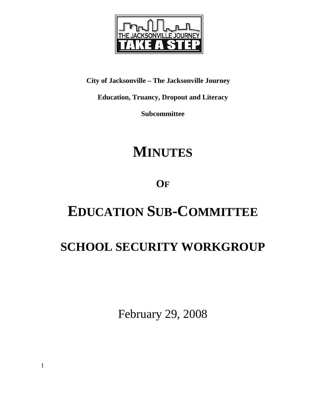

**City of Jacksonville – The Jacksonville Journey** 

**Education, Truancy, Dropout and Literacy** 

**Subcommittee** 

# **MINUTES**

# **OF**

# **EDUCATION SUB-COMMITTEE**

# **SCHOOL SECURITY WORKGROUP**

February 29, 2008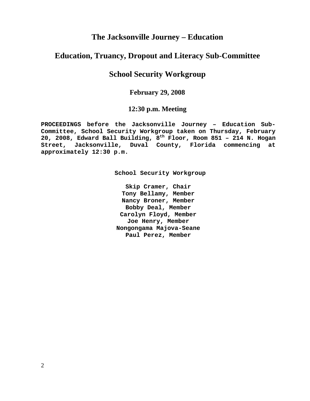## **The Jacksonville Journey – Education**

### **Education, Truancy, Dropout and Literacy Sub-Committee**

# **School Security Workgroup**

### **February 29, 2008**

### **12:30 p.m. Meeting**

**PROCEEDINGS before the Jacksonville Journey – Education Sub-Committee, School Security Workgroup taken on Thursday, February 20, 2008, Edward Ball Building, 8th Floor, Room 851 – 214 N. Hogan Street, Jacksonville, Duval County, Florida commencing at approximately 12:30 p.m.** 

**School Security Workgroup** 

**Skip Cramer, Chair Tony Bellamy, Member Nancy Broner, Member Bobby Deal, Member Carolyn Floyd, Member Joe Henry, Member Nongongama Majova-Seane Paul Perez, Member**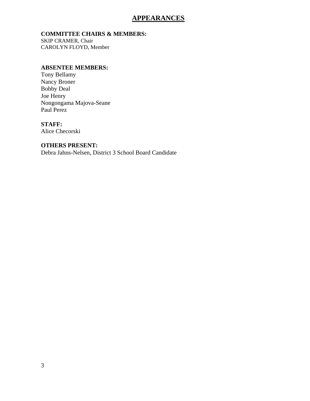### **APPEARANCES**

#### **COMMITTEE CHAIRS & MEMBERS:**

SKIP CRAMER, Chair CAROLYN FLOYD, Member

#### **ABSENTEE MEMBERS:**

Tony Bellamy Nancy Broner Bobby Deal Joe Henry Nongongama Majova-Seane Paul Perez

#### **STAFF:**

Alice Checorski

#### **OTHERS PRESENT:**

Debra Jahns-Nelsen, District 3 School Board Candidate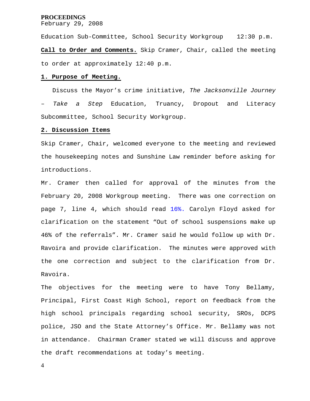#### **PROCEEDINGS**

February 29, 2008

Education Sub-Committee, School Security Workgroup 12:30 p.m. **Call to Order and Comments.** Skip Cramer, Chair, called the meeting to order at approximately 12:40 p.m.

#### **1. Purpose of Meeting.**

 Discuss the Mayor's crime initiative, *The Jacksonville Journey – Take a Step* Education, Truancy, Dropout and Literacy Subcommittee, School Security Workgroup.

#### **2. Discussion Items**

Skip Cramer, Chair, welcomed everyone to the meeting and reviewed the housekeeping notes and Sunshine Law reminder before asking for introductions.

Mr. Cramer then called for approval of the minutes from the February 20, 2008 Workgroup meeting. There was one correction on page 7, line 4, which should read 16%. Carolyn Floyd asked for clarification on the statement "Out of school suspensions make up 46% of the referrals". Mr. Cramer said he would follow up with Dr. Ravoira and provide clarification. The minutes were approved with the one correction and subject to the clarification from Dr. Ravoira.

The objectives for the meeting were to have Tony Bellamy, Principal, First Coast High School, report on feedback from the high school principals regarding school security, SROs, DCPS police, JSO and the State Attorney's Office. Mr. Bellamy was not in attendance. Chairman Cramer stated we will discuss and approve the draft recommendations at today's meeting.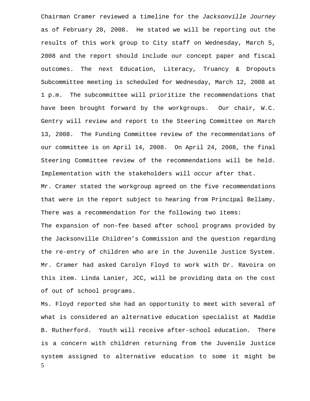Chairman Cramer reviewed a timeline for the *Jacksonville Journey*  as of February 20, 2008. He stated we will be reporting out the results of this work group to City staff on Wednesday, March 5, 2008 and the report should include our concept paper and fiscal outcomes. The next Education, Literacy, Truancy & Dropouts Subcommittee meeting is scheduled for Wednesday, March 12, 2008 at 1 p.m. The subcommittee will prioritize the recommendations that have been brought forward by the workgroups. Our chair, W.C. Gentry will review and report to the Steering Committee on March 13, 2008. The Funding Committee review of the recommendations of our committee is on April 14, 2008. On April 24, 2008, the final Steering Committee review of the recommendations will be held. Implementation with the stakeholders will occur after that. Mr. Cramer stated the workgroup agreed on the five recommendations that were in the report subject to hearing from Principal Bellamy. There was a recommendation for the following two items: The expansion of non-fee based after school programs provided by the Jacksonville Children's Commission and the question regarding the re-entry of children who are in the Juvenile Justice System. Mr. Cramer had asked Carolyn Floyd to work with Dr. Ravoira on

of out of school programs.

5 Ms. Floyd reported she had an opportunity to meet with several of what is considered an alternative education specialist at Maddie B. Rutherford. Youth will receive after-school education. There is a concern with children returning from the Juvenile Justice system assigned to alternative education to some it might be

this item. Linda Lanier, JCC, will be providing data on the cost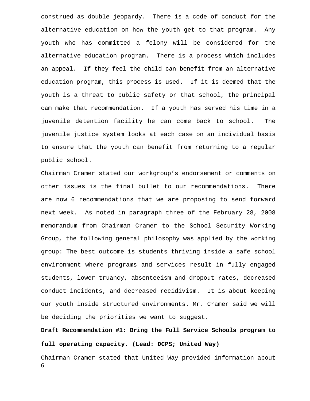construed as double jeopardy. There is a code of conduct for the alternative education on how the youth get to that program. Any youth who has committed a felony will be considered for the alternative education program. There is a process which includes an appeal. If they feel the child can benefit from an alternative education program, this process is used. If it is deemed that the youth is a threat to public safety or that school, the principal cam make that recommendation. If a youth has served his time in a juvenile detention facility he can come back to school. The juvenile justice system looks at each case on an individual basis to ensure that the youth can benefit from returning to a regular public school.

Chairman Cramer stated our workgroup's endorsement or comments on other issues is the final bullet to our recommendations. There are now 6 recommendations that we are proposing to send forward next week. As noted in paragraph three of the February 28, 2008 memorandum from Chairman Cramer to the School Security Working Group, the following general philosophy was applied by the working group: The best outcome is students thriving inside a safe school environment where programs and services result in fully engaged students, lower truancy, absenteeism and dropout rates, decreased conduct incidents, and decreased recidivism. It is about keeping our youth inside structured environments. Mr. Cramer said we will be deciding the priorities we want to suggest.

**Draft Recommendation #1: Bring the Full Service Schools program to full operating capacity. (Lead: DCPS; United Way)** 

6 Chairman Cramer stated that United Way provided information about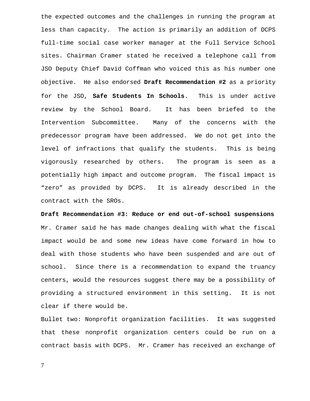the expected outcomes and the challenges in running the program at less than capacity. The action is primarily an addition of DCPS full-time social case worker manager at the Full Service School sites. Chairman Cramer stated he received a telephone call from JSO Deputy Chief David Coffman who voiced this as his number one objective. He also endorsed **Draft Recommendation #2** as a priority for the JSO, **Safe Students In Schools**. This is under active review by the School Board. It has been briefed to the Intervention Subcommittee. Many of the concerns with the predecessor program have been addressed. We do not get into the level of infractions that qualify the students. This is being vigorously researched by others. The program is seen as a potentially high impact and outcome program. The fiscal impact is "zero" as provided by DCPS. It is already described in the contract with the SROs.

**Draft Recommendation #3: Reduce or end out-of-school suspensions**  Mr. Cramer said he has made changes dealing with what the fiscal impact would be and some new ideas have come forward in how to deal with those students who have been suspended and are out of school. Since there is a recommendation to expand the truancy centers, would the resources suggest there may be a possibility of providing a structured environment in this setting. It is not clear if there would be.

Bullet two: Nonprofit organization facilities. It was suggested that these nonprofit organization centers could be run on a contract basis with DCPS. Mr. Cramer has received an exchange of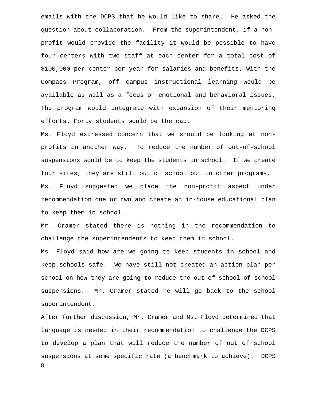emails with the DCPS that he would like to share. He asked the question about collaboration. From the superintendent, if a nonprofit would provide the facility it would be possible to have four centers with two staff at each center for a total cost of \$100,000 per center per year for salaries and benefits. With the Compass Program, off campus instructional learning would be available as well as a focus on emotional and behavioral issues. The program would integrate with expansion of their mentoring efforts. Forty students would be the cap.

Ms. Floyd expressed concern that we should be looking at nonprofits in another way. To reduce the number of out-of-school suspensions would be to keep the students in school. If we create four sites, they are still out of school but in other programs. Ms. Floyd suggested we place the non-profit aspect under recommendation one or two and create an in-house educational plan to keep them in school.

Mr. Cramer stated there is nothing in the recommendation to challenge the superintendents to keep them in school.

Ms. Floyd said how are we going to keep students in school and keep schools safe. We have still not created an action plan per school on how they are going to reduce the out of school of school suspensions. Mr. Cramer stated he will go back to the school superintendent.

8 After further discussion, Mr. Cramer and Ms. Floyd determined that language is needed in their recommendation to challenge the DCPS to develop a plan that will reduce the number of out of school suspensions at some specific rate (a benchmark to achieve). DCPS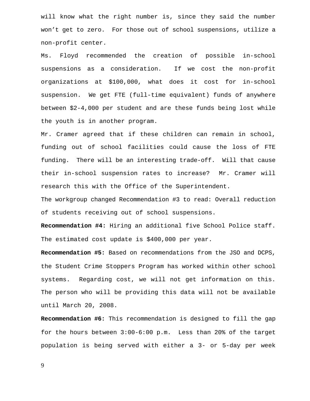will know what the right number is, since they said the number won't get to zero. For those out of school suspensions, utilize a non-profit center.

Ms. Floyd recommended the creation of possible in-school suspensions as a consideration. If we cost the non-profit organizations at \$100,000, what does it cost for in-school suspension. We get FTE (full-time equivalent) funds of anywhere between \$2-4,000 per student and are these funds being lost while the youth is in another program.

Mr. Cramer agreed that if these children can remain in school, funding out of school facilities could cause the loss of FTE funding. There will be an interesting trade-off. Will that cause their in-school suspension rates to increase? Mr. Cramer will research this with the Office of the Superintendent.

The workgroup changed Recommendation #3 to read: Overall reduction of students receiving out of school suspensions.

**Recommendation #4:** Hiring an additional five School Police staff. The estimated cost update is \$400,000 per year.

**Recommendation #5:** Based on recommendations from the JSO and DCPS, the Student Crime Stoppers Program has worked within other school systems. Regarding cost, we will not get information on this. The person who will be providing this data will not be available until March 20, 2008.

**Recommendation #6:** This recommendation is designed to fill the gap for the hours between 3:00-6:00 p.m. Less than 20% of the target population is being served with either a 3- or 5-day per week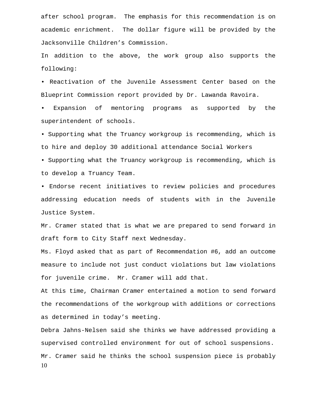after school program. The emphasis for this recommendation is on academic enrichment. The dollar figure will be provided by the Jacksonville Children's Commission.

In addition to the above, the work group also supports the following:

• Reactivation of the Juvenile Assessment Center based on the Blueprint Commission report provided by Dr. Lawanda Ravoira.

Expansion of mentoring programs as supported by the superintendent of schools.

• Supporting what the Truancy workgroup is recommending, which is to hire and deploy 30 additional attendance Social Workers

• Supporting what the Truancy workgroup is recommending, which is to develop a Truancy Team.

• Endorse recent initiatives to review policies and procedures addressing education needs of students with in the Juvenile Justice System.

Mr. Cramer stated that is what we are prepared to send forward in draft form to City Staff next Wednesday.

Ms. Floyd asked that as part of Recommendation #6, add an outcome measure to include not just conduct violations but law violations for juvenile crime. Mr. Cramer will add that.

At this time, Chairman Cramer entertained a motion to send forward the recommendations of the workgroup with additions or corrections as determined in today's meeting.

10 Debra Jahns-Nelsen said she thinks we have addressed providing a supervised controlled environment for out of school suspensions. Mr. Cramer said he thinks the school suspension piece is probably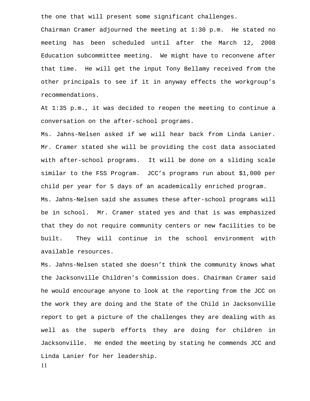the one that will present some significant challenges.

Chairman Cramer adjourned the meeting at 1:30 p.m. He stated no meeting has been scheduled until after the March 12, 2008 Education subcommittee meeting. We might have to reconvene after that time. He will get the input Tony Bellamy received from the other principals to see if it in anyway effects the workgroup's recommendations.

At 1:35 p.m., it was decided to reopen the meeting to continue a conversation on the after-school programs.

Ms. Jahns-Nelsen asked if we will hear back from Linda Lanier. Mr. Cramer stated she will be providing the cost data associated with after-school programs. It will be done on a sliding scale similar to the FSS Program. JCC's programs run about \$1,000 per child per year for 5 days of an academically enriched program. Ms. Jahns-Nelsen said she assumes these after-school programs will be in school. Mr. Cramer stated yes and that is was emphasized that they do not require community centers or new facilities to be built. They will continue in the school environment with available resources.

Ms. Jahns-Nelsen stated she doesn't think the community knows what the Jacksonville Children's Commission does. Chairman Cramer said he would encourage anyone to look at the reporting from the JCC on the work they are doing and the State of the Child in Jacksonville report to get a picture of the challenges they are dealing with as well as the superb efforts they are doing for children in Jacksonville. He ended the meeting by stating he commends JCC and Linda Lanier for her leadership.